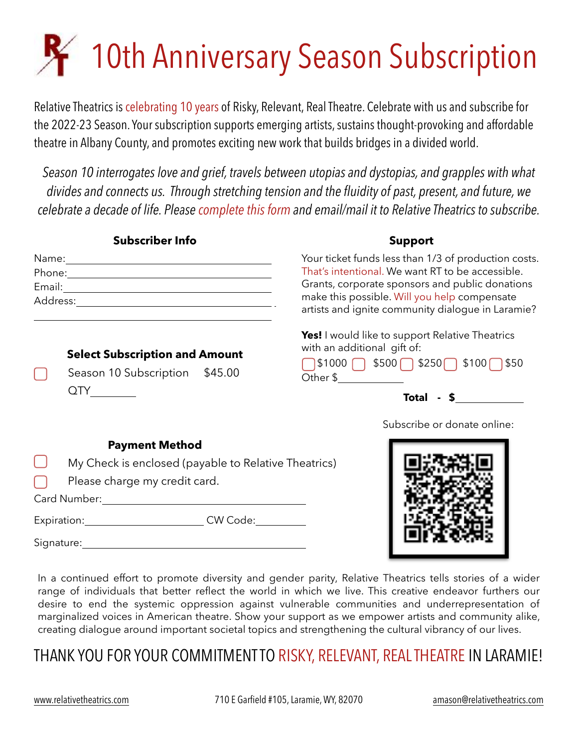# **R** 10th Anniversary Season Subscription

Relative Theatrics is celebrating 10 years of Risky, Relevant, Real Theatre. Celebrate with us and subscribe for the 2022-23 Season. Your subscription supports emerging artists, sustains thought-provoking and affordable theatre in Albany County, and promotes exciting new work that builds bridges in a divided world.

*Season 10 interrogates love and grief, travels between utopias and dystopias, and grapples with what divides and connects us. Through stretching tension and the fluidity of past, present, and future, we celebrate a decade of life. Please complete this form and email/mail it to Relative Theatrics to subscribe.*

|                               | <b>Subscriber Info</b>                                                         | <b>Support</b>                                                                                                                                                                                                                                                                                                                                                                                                                                                                                                                                                                                                                                                                                                                                                                                                                                                                                                                                                                                              |  |
|-------------------------------|--------------------------------------------------------------------------------|-------------------------------------------------------------------------------------------------------------------------------------------------------------------------------------------------------------------------------------------------------------------------------------------------------------------------------------------------------------------------------------------------------------------------------------------------------------------------------------------------------------------------------------------------------------------------------------------------------------------------------------------------------------------------------------------------------------------------------------------------------------------------------------------------------------------------------------------------------------------------------------------------------------------------------------------------------------------------------------------------------------|--|
|                               |                                                                                | Your ticket funds less than 1/3 of production costs.<br>That's intentional. We want RT to be accessible.<br>Grants, corporate sponsors and public donations<br>make this possible. Will you help compensate<br>artists and ignite community dialogue in Laramie?                                                                                                                                                                                                                                                                                                                                                                                                                                                                                                                                                                                                                                                                                                                                            |  |
|                               | <b>Select Subscription and Amount</b><br>Season 10 Subscription \$45.00<br>QTY | <b>Yes!</b> I would like to support Relative Theatrics<br>with an additional gift of:<br>$\bigcap$ \$1000 \ \$500 \ \$250 \ \$100 \ \$50<br>Other $\frac{1}{2}$ and $\frac{1}{2}$ and $\frac{1}{2}$ and $\frac{1}{2}$ and $\frac{1}{2}$ and $\frac{1}{2}$ and $\frac{1}{2}$ and $\frac{1}{2}$ and $\frac{1}{2}$ and $\frac{1}{2}$ and $\frac{1}{2}$ and $\frac{1}{2}$ and $\frac{1}{2}$ and $\frac{1}{2}$ and $\frac{1}{2}$ and $\frac{1$<br>$\begin{tabular}{c} Total & - & $\text{\$} \end{tabular} \end{tabular} \begin{tabular}{c} \includegraphics[width=0.35\textwidth]{Figures/1001}} \end{tabular} \begin{tabular}{c} \includegraphics[width=0.35\textwidth]{Figures/1001}} \end{tabular} \begin{tabular}{c} \includegraphics[width=0.35\textwidth]{Figures/1001}} \end{tabular} \begin{tabular}{c} \includegraphics[width=0.35\textwidth]{Figures/1001}} \end{tabular} \begin{tabular}{c} \includegraphics[width=0.35\textwidth]{Figures/1001}} \end{tabular} \begin{tabular}{c} \includegraphics$ |  |
|                               |                                                                                | Subscribe or donate online:                                                                                                                                                                                                                                                                                                                                                                                                                                                                                                                                                                                                                                                                                                                                                                                                                                                                                                                                                                                 |  |
|                               | <b>Payment Method</b>                                                          |                                                                                                                                                                                                                                                                                                                                                                                                                                                                                                                                                                                                                                                                                                                                                                                                                                                                                                                                                                                                             |  |
|                               | My Check is enclosed (payable to Relative Theatrics)                           |                                                                                                                                                                                                                                                                                                                                                                                                                                                                                                                                                                                                                                                                                                                                                                                                                                                                                                                                                                                                             |  |
| Please charge my credit card. |                                                                                |                                                                                                                                                                                                                                                                                                                                                                                                                                                                                                                                                                                                                                                                                                                                                                                                                                                                                                                                                                                                             |  |
|                               |                                                                                |                                                                                                                                                                                                                                                                                                                                                                                                                                                                                                                                                                                                                                                                                                                                                                                                                                                                                                                                                                                                             |  |
|                               | Expiration: CW Code: CW Code:                                                  |                                                                                                                                                                                                                                                                                                                                                                                                                                                                                                                                                                                                                                                                                                                                                                                                                                                                                                                                                                                                             |  |

Signature:

In a continued effort to promote diversity and gender parity, Relative Theatrics tells stories of a wider range of individuals that better reflect the world in which we live. This creative endeavor furthers our desire to end the systemic oppression against vulnerable communities and underrepresentation of marginalized voices in American theatre. Show your support as we empower artists and community alike, creating dialogue around important societal topics and strengthening the cultural vibrancy of our lives.

# THANK YOU FOR YOUR COMMITMENT TO RISKY, RELEVANT, REAL THEATRE IN LARAMIE!